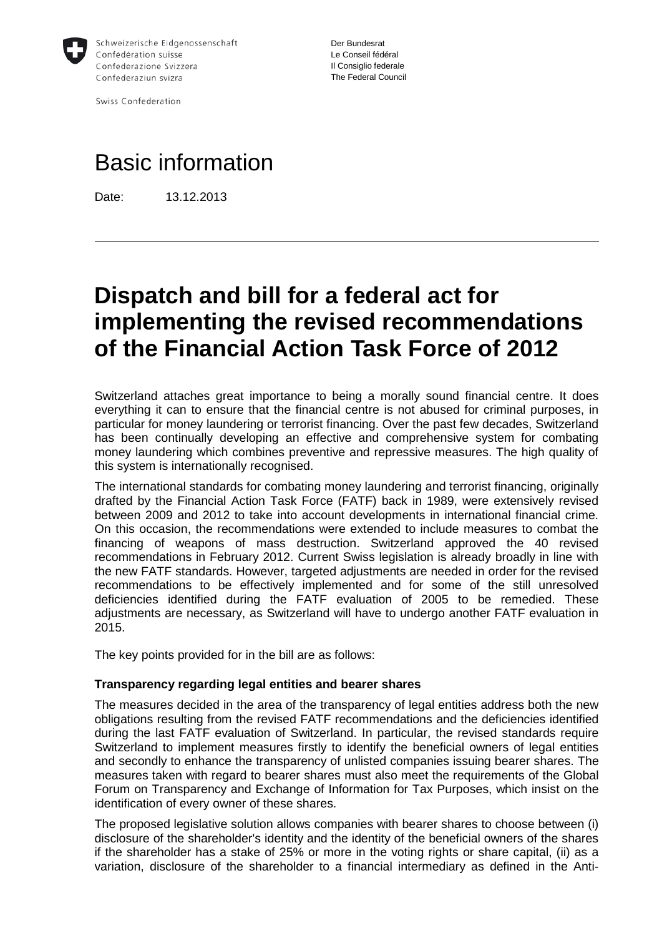

Swiss Confederation

Der Bundesrat Le Conseil fédéral Il Consiglio federale The Federal Council

# Basic information

Date: 13.12.2013

# **Dispatch and bill for a federal act for implementing the revised recommendations of the Financial Action Task Force of 2012**

Switzerland attaches great importance to being a morally sound financial centre. It does everything it can to ensure that the financial centre is not abused for criminal purposes, in particular for money laundering or terrorist financing. Over the past few decades, Switzerland has been continually developing an effective and comprehensive system for combating money laundering which combines preventive and repressive measures. The high quality of this system is internationally recognised.

The international standards for combating money laundering and terrorist financing, originally drafted by the Financial Action Task Force (FATF) back in 1989, were extensively revised between 2009 and 2012 to take into account developments in international financial crime. On this occasion, the recommendations were extended to include measures to combat the financing of weapons of mass destruction. Switzerland approved the 40 revised recommendations in February 2012. Current Swiss legislation is already broadly in line with the new FATF standards. However, targeted adjustments are needed in order for the revised recommendations to be effectively implemented and for some of the still unresolved deficiencies identified during the FATF evaluation of 2005 to be remedied. These adjustments are necessary, as Switzerland will have to undergo another FATF evaluation in 2015.

The key points provided for in the bill are as follows:

#### **Transparency regarding legal entities and bearer shares**

The measures decided in the area of the transparency of legal entities address both the new obligations resulting from the revised FATF recommendations and the deficiencies identified during the last FATF evaluation of Switzerland. In particular, the revised standards require Switzerland to implement measures firstly to identify the beneficial owners of legal entities and secondly to enhance the transparency of unlisted companies issuing bearer shares. The measures taken with regard to bearer shares must also meet the requirements of the Global Forum on Transparency and Exchange of Information for Tax Purposes, which insist on the identification of every owner of these shares.

The proposed legislative solution allows companies with bearer shares to choose between (i) disclosure of the shareholder's identity and the identity of the beneficial owners of the shares if the shareholder has a stake of 25% or more in the voting rights or share capital, (ii) as a variation, disclosure of the shareholder to a financial intermediary as defined in the Anti-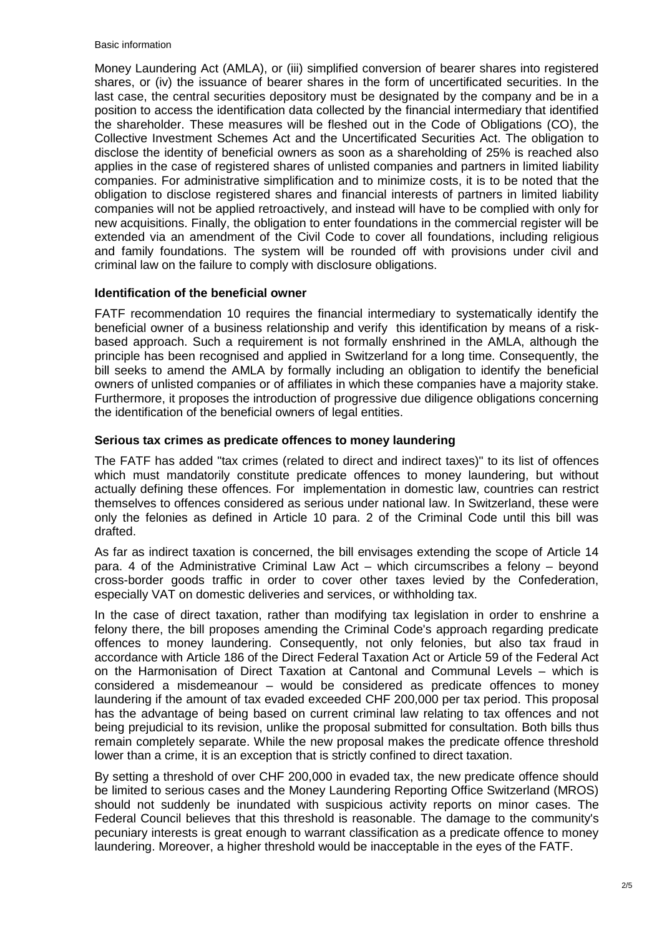#### Basic information

Money Laundering Act (AMLA), or (iii) simplified conversion of bearer shares into registered shares, or (iv) the issuance of bearer shares in the form of uncertificated securities. In the last case, the central securities depository must be designated by the company and be in a position to access the identification data collected by the financial intermediary that identified the shareholder. These measures will be fleshed out in the Code of Obligations (CO), the Collective Investment Schemes Act and the Uncertificated Securities Act. The obligation to disclose the identity of beneficial owners as soon as a shareholding of 25% is reached also applies in the case of registered shares of unlisted companies and partners in limited liability companies. For administrative simplification and to minimize costs, it is to be noted that the obligation to disclose registered shares and financial interests of partners in limited liability companies will not be applied retroactively, and instead will have to be complied with only for new acquisitions. Finally, the obligation to enter foundations in the commercial register will be extended via an amendment of the Civil Code to cover all foundations, including religious and family foundations. The system will be rounded off with provisions under civil and criminal law on the failure to comply with disclosure obligations.

## **Identification of the beneficial owner**

FATF recommendation 10 requires the financial intermediary to systematically identify the beneficial owner of a business relationship and verify this identification by means of a riskbased approach. Such a requirement is not formally enshrined in the AMLA, although the principle has been recognised and applied in Switzerland for a long time. Consequently, the bill seeks to amend the AMLA by formally including an obligation to identify the beneficial owners of unlisted companies or of affiliates in which these companies have a majority stake. Furthermore, it proposes the introduction of progressive due diligence obligations concerning the identification of the beneficial owners of legal entities.

## **Serious tax crimes as predicate offences to money laundering**

The FATF has added "tax crimes (related to direct and indirect taxes)" to its list of offences which must mandatorily constitute predicate offences to money laundering, but without actually defining these offences. For implementation in domestic law, countries can restrict themselves to offences considered as serious under national law. In Switzerland, these were only the felonies as defined in Article 10 para. 2 of the Criminal Code until this bill was drafted.

As far as indirect taxation is concerned, the bill envisages extending the scope of Article 14 para. 4 of the Administrative Criminal Law Act – which circumscribes a felony – beyond cross-border goods traffic in order to cover other taxes levied by the Confederation, especially VAT on domestic deliveries and services, or withholding tax.

In the case of direct taxation, rather than modifying tax legislation in order to enshrine a felony there, the bill proposes amending the Criminal Code's approach regarding predicate offences to money laundering. Consequently, not only felonies, but also tax fraud in accordance with Article 186 of the Direct Federal Taxation Act or Article 59 of the Federal Act on the Harmonisation of Direct Taxation at Cantonal and Communal Levels – which is considered a misdemeanour – would be considered as predicate offences to money laundering if the amount of tax evaded exceeded CHF 200,000 per tax period. This proposal has the advantage of being based on current criminal law relating to tax offences and not being prejudicial to its revision, unlike the proposal submitted for consultation. Both bills thus remain completely separate. While the new proposal makes the predicate offence threshold lower than a crime, it is an exception that is strictly confined to direct taxation.

By setting a threshold of over CHF 200,000 in evaded tax, the new predicate offence should be limited to serious cases and the Money Laundering Reporting Office Switzerland (MROS) should not suddenly be inundated with suspicious activity reports on minor cases. The Federal Council believes that this threshold is reasonable. The damage to the community's pecuniary interests is great enough to warrant classification as a predicate offence to money laundering. Moreover, a higher threshold would be inacceptable in the eyes of the FATF.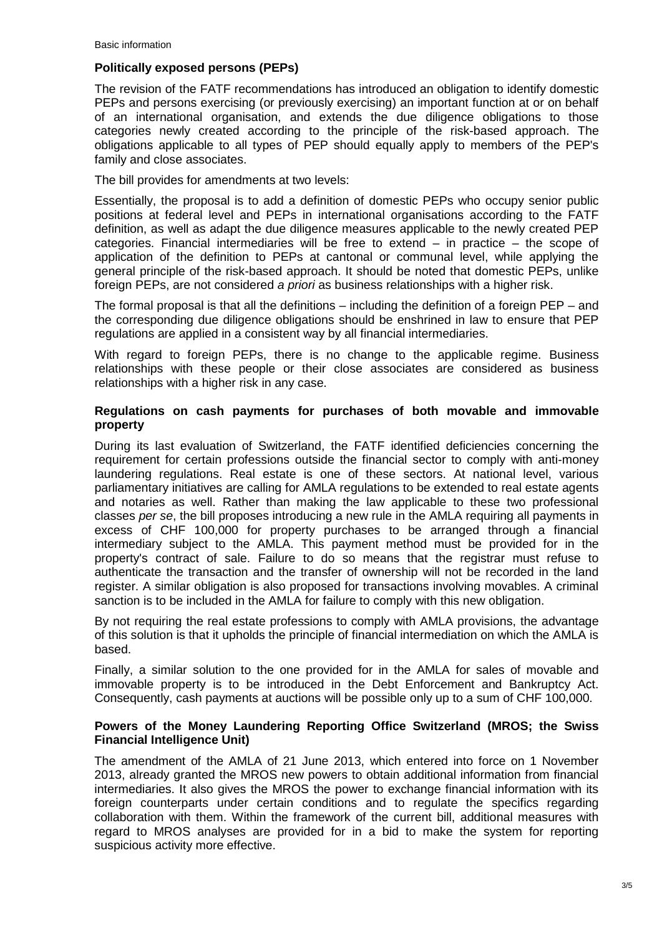## **Politically exposed persons (PEPs)**

The revision of the FATF recommendations has introduced an obligation to identify domestic PEPs and persons exercising (or previously exercising) an important function at or on behalf of an international organisation, and extends the due diligence obligations to those categories newly created according to the principle of the risk-based approach. The obligations applicable to all types of PEP should equally apply to members of the PEP's family and close associates.

The bill provides for amendments at two levels:

Essentially, the proposal is to add a definition of domestic PEPs who occupy senior public positions at federal level and PEPs in international organisations according to the FATF definition, as well as adapt the due diligence measures applicable to the newly created PEP categories. Financial intermediaries will be free to extend – in practice – the scope of application of the definition to PEPs at cantonal or communal level, while applying the general principle of the risk-based approach. It should be noted that domestic PEPs, unlike foreign PEPs, are not considered *a priori* as business relationships with a higher risk.

The formal proposal is that all the definitions – including the definition of a foreign PEP – and the corresponding due diligence obligations should be enshrined in law to ensure that PEP regulations are applied in a consistent way by all financial intermediaries.

With regard to foreign PEPs, there is no change to the applicable regime. Business relationships with these people or their close associates are considered as business relationships with a higher risk in any case.

#### **Regulations on cash payments for purchases of both movable and immovable property**

During its last evaluation of Switzerland, the FATF identified deficiencies concerning the requirement for certain professions outside the financial sector to comply with anti-money laundering regulations. Real estate is one of these sectors. At national level, various parliamentary initiatives are calling for AMLA regulations to be extended to real estate agents and notaries as well. Rather than making the law applicable to these two professional classes *per se*, the bill proposes introducing a new rule in the AMLA requiring all payments in excess of CHF 100,000 for property purchases to be arranged through a financial intermediary subject to the AMLA. This payment method must be provided for in the property's contract of sale. Failure to do so means that the registrar must refuse to authenticate the transaction and the transfer of ownership will not be recorded in the land register. A similar obligation is also proposed for transactions involving movables. A criminal sanction is to be included in the AMLA for failure to comply with this new obligation.

By not requiring the real estate professions to comply with AMLA provisions, the advantage of this solution is that it upholds the principle of financial intermediation on which the AMLA is based.

Finally, a similar solution to the one provided for in the AMLA for sales of movable and immovable property is to be introduced in the Debt Enforcement and Bankruptcy Act. Consequently, cash payments at auctions will be possible only up to a sum of CHF 100,000.

#### **Powers of the Money Laundering Reporting Office Switzerland (MROS; the Swiss Financial Intelligence Unit)**

The amendment of the AMLA of 21 June 2013, which entered into force on 1 November 2013, already granted the MROS new powers to obtain additional information from financial intermediaries. It also gives the MROS the power to exchange financial information with its foreign counterparts under certain conditions and to regulate the specifics regarding collaboration with them. Within the framework of the current bill, additional measures with regard to MROS analyses are provided for in a bid to make the system for reporting suspicious activity more effective.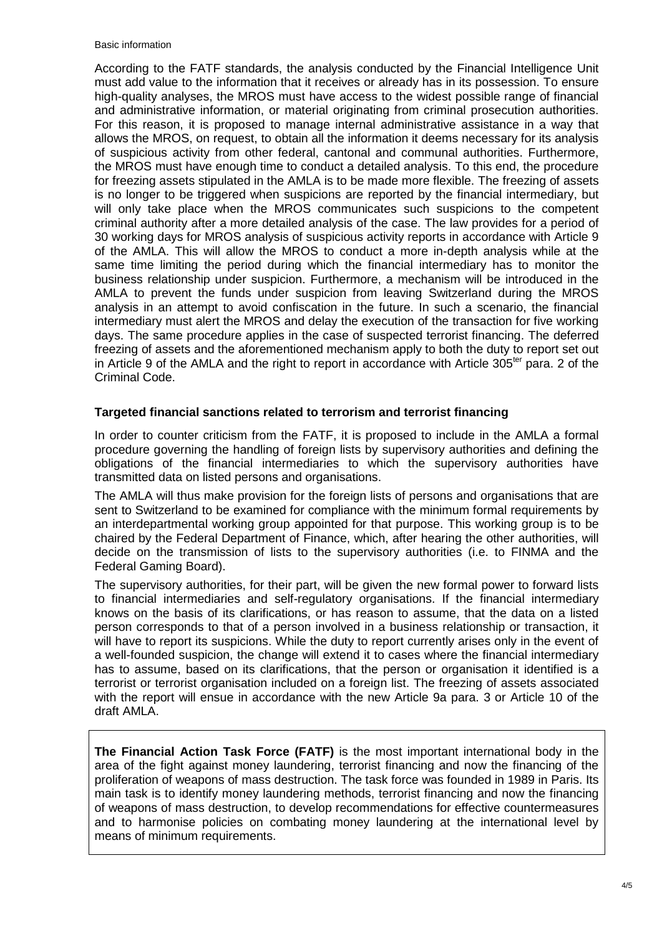#### Basic information

According to the FATF standards, the analysis conducted by the Financial Intelligence Unit must add value to the information that it receives or already has in its possession. To ensure high-quality analyses, the MROS must have access to the widest possible range of financial and administrative information, or material originating from criminal prosecution authorities. For this reason, it is proposed to manage internal administrative assistance in a way that allows the MROS, on request, to obtain all the information it deems necessary for its analysis of suspicious activity from other federal, cantonal and communal authorities. Furthermore, the MROS must have enough time to conduct a detailed analysis. To this end, the procedure for freezing assets stipulated in the AMLA is to be made more flexible. The freezing of assets is no longer to be triggered when suspicions are reported by the financial intermediary, but will only take place when the MROS communicates such suspicions to the competent criminal authority after a more detailed analysis of the case. The law provides for a period of 30 working days for MROS analysis of suspicious activity reports in accordance with Article 9 of the AMLA. This will allow the MROS to conduct a more in-depth analysis while at the same time limiting the period during which the financial intermediary has to monitor the business relationship under suspicion. Furthermore, a mechanism will be introduced in the AMLA to prevent the funds under suspicion from leaving Switzerland during the MROS analysis in an attempt to avoid confiscation in the future. In such a scenario, the financial intermediary must alert the MROS and delay the execution of the transaction for five working days. The same procedure applies in the case of suspected terrorist financing. The deferred freezing of assets and the aforementioned mechanism apply to both the duty to report set out in Article 9 of the AMLA and the right to report in accordance with Article  $305<sup>ter</sup>$  para. 2 of the Criminal Code.

#### **Targeted financial sanctions related to terrorism and terrorist financing**

In order to counter criticism from the FATF, it is proposed to include in the AMLA a formal procedure governing the handling of foreign lists by supervisory authorities and defining the obligations of the financial intermediaries to which the supervisory authorities have transmitted data on listed persons and organisations.

The AMLA will thus make provision for the foreign lists of persons and organisations that are sent to Switzerland to be examined for compliance with the minimum formal requirements by an interdepartmental working group appointed for that purpose. This working group is to be chaired by the Federal Department of Finance, which, after hearing the other authorities, will decide on the transmission of lists to the supervisory authorities (i.e. to FINMA and the Federal Gaming Board).

The supervisory authorities, for their part, will be given the new formal power to forward lists to financial intermediaries and self-regulatory organisations. If the financial intermediary knows on the basis of its clarifications, or has reason to assume, that the data on a listed person corresponds to that of a person involved in a business relationship or transaction, it will have to report its suspicions. While the duty to report currently arises only in the event of a well-founded suspicion, the change will extend it to cases where the financial intermediary has to assume, based on its clarifications, that the person or organisation it identified is a terrorist or terrorist organisation included on a foreign list. The freezing of assets associated with the report will ensue in accordance with the new Article 9a para. 3 or Article 10 of the draft AMLA.

**The Financial Action Task Force (FATF)** is the most important international body in the area of the fight against money laundering, terrorist financing and now the financing of the proliferation of weapons of mass destruction. The task force was founded in 1989 in Paris. Its main task is to identify money laundering methods, terrorist financing and now the financing of weapons of mass destruction, to develop recommendations for effective countermeasures and to harmonise policies on combating money laundering at the international level by means of minimum requirements.